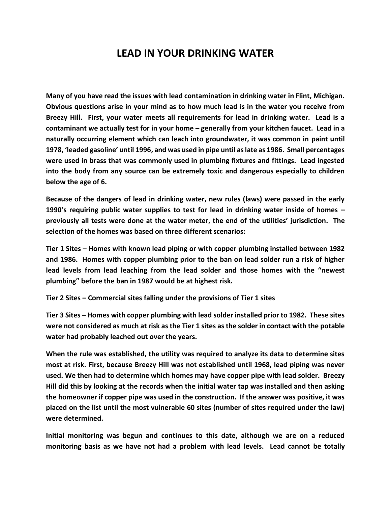## **LEAD IN YOUR DRINKING WATER**

**Many of you have read the issues with lead contamination in drinking water in Flint, Michigan. Obvious questions arise in your mind as to how much lead is in the water you receive from Breezy Hill. First, your water meets all requirements for lead in drinking water. Lead is a contaminant we actually test for in your home – generally from your kitchen faucet. Lead in a naturally occurring element which can leach into groundwater, it was common in paint until 1978, 'leaded gasoline' until 1996, and was used in pipe until as late as 1986. Small percentages were used in brass that was commonly used in plumbing fixtures and fittings. Lead ingested into the body from any source can be extremely toxic and dangerous especially to children below the age of 6.**

**Because of the dangers of lead in drinking water, new rules (laws) were passed in the early 1990's requiring public water supplies to test for lead in drinking water inside of homes – previously all tests were done at the water meter, the end of the utilities' jurisdiction. The selection of the homes was based on three different scenarios:**

**Tier 1 Sites – Homes with known lead piping or with copper plumbing installed between 1982 and 1986. Homes with copper plumbing prior to the ban on lead solder run a risk of higher lead levels from lead leaching from the lead solder and those homes with the "newest plumbing" before the ban in 1987 would be at highest risk.**

**Tier 2 Sites – Commercial sites falling under the provisions of Tier 1 sites**

**Tier 3 Sites – Homes with copper plumbing with lead solder installed prior to 1982. These sites were not considered as much at risk as the Tier 1 sites as the solder in contact with the potable water had probably leached out over the years.**

**When the rule was established, the utility was required to analyze its data to determine sites most at risk. First, because Breezy Hill was not established until 1968, lead piping was never used. We then had to determine which homes may have copper pipe with lead solder. Breezy Hill did this by looking at the records when the initial water tap was installed and then asking the homeowner if copper pipe was used in the construction. If the answer was positive, it was placed on the list until the most vulnerable 60 sites (number of sites required under the law) were determined.**

**Initial monitoring was begun and continues to this date, although we are on a reduced monitoring basis as we have not had a problem with lead levels. Lead cannot be totally**